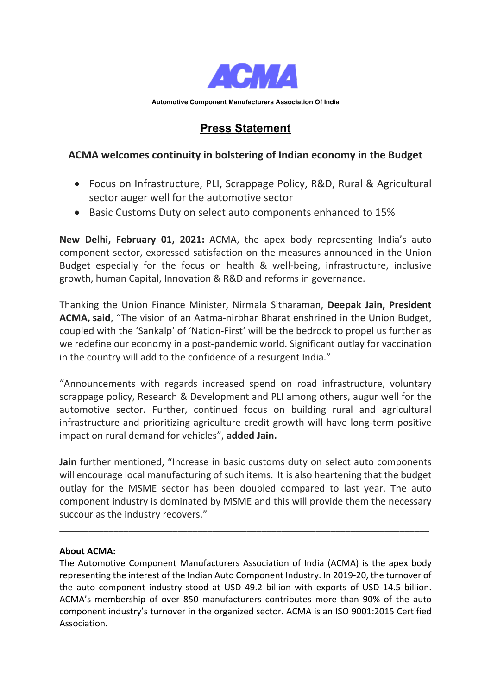

**Automotive Component Manufacturers Association Of India**

# **Press Statement**

## **ACMA welcomes continuity in bolstering of Indian economy in the Budget**

- Focus on Infrastructure, PLI, Scrappage Policy, R&D, Rural & Agricultural sector auger well for the automotive sector
- Basic Customs Duty on select auto components enhanced to 15%

**New Delhi, February 01, 2021:** ACMA, the apex body representing India's auto component sector, expressed satisfaction on the measures announced in the Union Budget especially for the focus on health & well-being, infrastructure, inclusive growth, human Capital, Innovation & R&D and reforms in governance.

Thanking the Union Finance Minister, Nirmala Sitharaman, **Deepak Jain, President ACMA, said**, "The vision of an Aatma-nirbhar Bharat enshrined in the Union Budget, coupled with the 'Sankalp' of 'Nation-First' will be the bedrock to propel us further as we redefine our economy in a post-pandemic world. Significant outlay for vaccination in the country will add to the confidence of a resurgent India."

"Announcements with regards increased spend on road infrastructure, voluntary scrappage policy, Research & Development and PLI among others, augur well for the automotive sector. Further, continued focus on building rural and agricultural infrastructure and prioritizing agriculture credit growth will have long-term positive impact on rural demand for vehicles", **added Jain.**

**Jain** further mentioned, "Increase in basic customs duty on select auto components will encourage local manufacturing of such items. It is also heartening that the budget outlay for the MSME sector has been doubled compared to last year. The auto component industry is dominated by MSME and this will provide them the necessary succour as the industry recovers."

\_\_\_\_\_\_\_\_\_\_\_\_\_\_\_\_\_\_\_\_\_\_\_\_\_\_\_\_\_\_\_\_\_\_\_\_\_\_\_\_\_\_\_\_\_\_\_\_\_\_\_\_\_\_\_\_\_\_\_\_\_\_\_\_\_\_\_\_\_\_\_\_\_\_\_

#### **About ACMA:**

The Automotive Component Manufacturers Association of India (ACMA) is the apex body representing the interest of the Indian Auto Component Industry. In 2019-20, the turnover of the auto component industry stood at USD 49.2 billion with exports of USD 14.5 billion. ACMA's membership of over 850 manufacturers contributes more than 90% of the auto component industry's turnover in the organized sector. ACMA is an ISO 9001:2015 Certified Association.